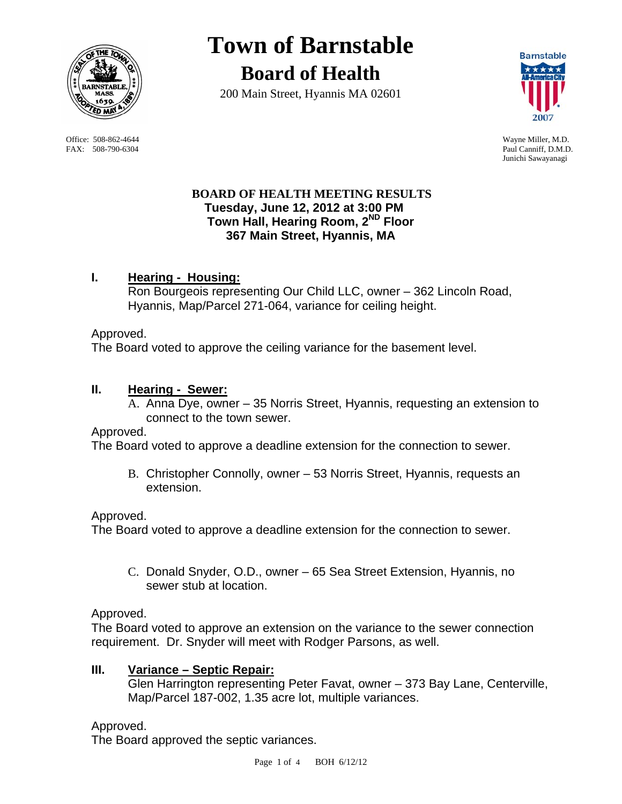

FAX: 508-790-6304 Paul Canniff, D.M.D.

# **Town of Barnstable Board of Health**

200 Main Street, Hyannis MA 02601



 Office: 508-862-4644 Wayne Miller, M.D. Junichi Sawayanagi

## **BOARD OF HEALTH MEETING RESULTS Tuesday, June 12, 2012 at 3:00 PM Town Hall, Hearing Room, 2ND Floor 367 Main Street, Hyannis, MA**

# **I. Hearing - Housing:**

Ron Bourgeois representing Our Child LLC, owner – 362 Lincoln Road, Hyannis, Map/Parcel 271-064, variance for ceiling height.

## Approved.

The Board voted to approve the ceiling variance for the basement level.

## **II. Hearing - Sewer:**

A. Anna Dye, owner – 35 Norris Street, Hyannis, requesting an extension to connect to the town sewer.

## Approved.

The Board voted to approve a deadline extension for the connection to sewer.

B. Christopher Connolly, owner – 53 Norris Street, Hyannis, requests an extension.

## Approved.

The Board voted to approve a deadline extension for the connection to sewer.

C. Donald Snyder, O.D., owner – 65 Sea Street Extension, Hyannis, no sewer stub at location.

Approved.

The Board voted to approve an extension on the variance to the sewer connection requirement. Dr. Snyder will meet with Rodger Parsons, as well.

## **III. Variance – Septic Repair:**

Glen Harrington representing Peter Favat, owner – 373 Bay Lane, Centerville, Map/Parcel 187-002, 1.35 acre lot, multiple variances.

## Approved.

The Board approved the septic variances.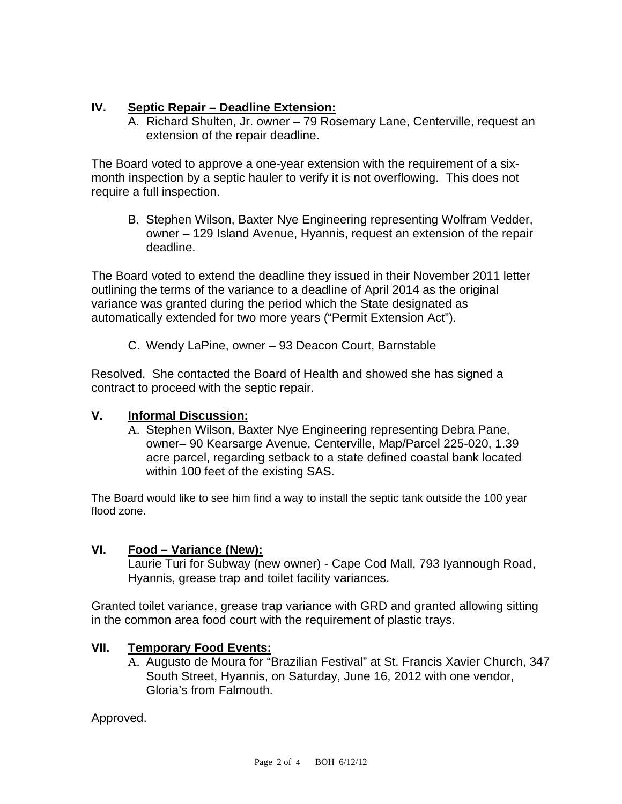## **IV. Septic Repair – Deadline Extension:**

A. Richard Shulten, Jr. owner – 79 Rosemary Lane, Centerville, request an extension of the repair deadline.

The Board voted to approve a one-year extension with the requirement of a sixmonth inspection by a septic hauler to verify it is not overflowing. This does not require a full inspection.

B. Stephen Wilson, Baxter Nye Engineering representing Wolfram Vedder, owner – 129 Island Avenue, Hyannis, request an extension of the repair deadline.

The Board voted to extend the deadline they issued in their November 2011 letter outlining the terms of the variance to a deadline of April 2014 as the original variance was granted during the period which the State designated as automatically extended for two more years ("Permit Extension Act").

C. Wendy LaPine, owner – 93 Deacon Court, Barnstable

Resolved. She contacted the Board of Health and showed she has signed a contract to proceed with the septic repair.

## **V. Informal Discussion:**

A. Stephen Wilson, Baxter Nye Engineering representing Debra Pane, owner– 90 Kearsarge Avenue, Centerville, Map/Parcel 225-020, 1.39 acre parcel, regarding setback to a state defined coastal bank located within 100 feet of the existing SAS.

The Board would like to see him find a way to install the septic tank outside the 100 year flood zone.

# **VI. Food – Variance (New):**

Laurie Turi for Subway (new owner) - Cape Cod Mall, 793 Iyannough Road, Hyannis, grease trap and toilet facility variances.

Granted toilet variance, grease trap variance with GRD and granted allowing sitting in the common area food court with the requirement of plastic trays.

## **VII. Temporary Food Events:**

A. Augusto de Moura for "Brazilian Festival" at St. Francis Xavier Church, 347 South Street, Hyannis, on Saturday, June 16, 2012 with one vendor, Gloria's from Falmouth.

Approved.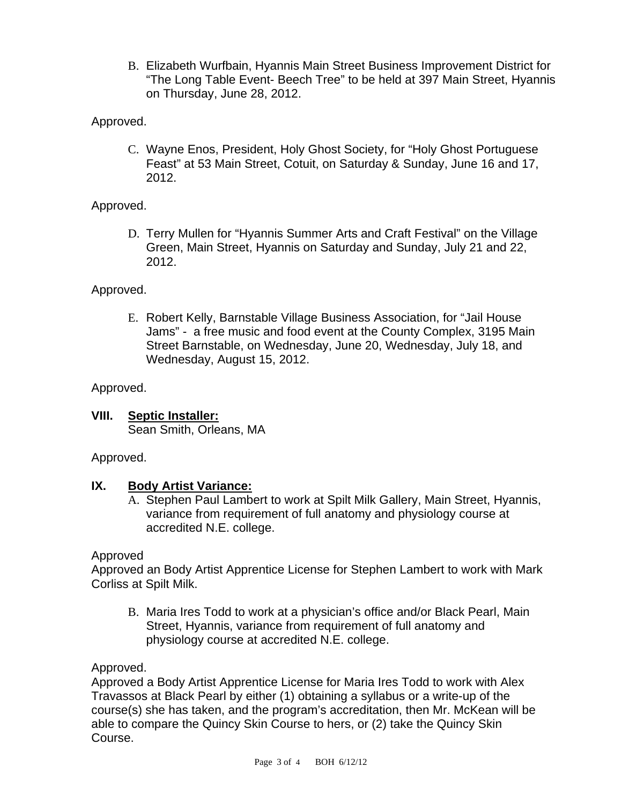B. Elizabeth Wurfbain, Hyannis Main Street Business Improvement District for "The Long Table Event- Beech Tree" to be held at 397 Main Street, Hyannis on Thursday, June 28, 2012.

# Approved.

C. Wayne Enos, President, Holy Ghost Society, for "Holy Ghost Portuguese Feast" at 53 Main Street, Cotuit, on Saturday & Sunday, June 16 and 17, 2012.

## Approved.

D. Terry Mullen for "Hyannis Summer Arts and Craft Festival" on the Village Green, Main Street, Hyannis on Saturday and Sunday, July 21 and 22, 2012.

## Approved.

E. Robert Kelly, Barnstable Village Business Association, for "Jail House Jams" - a free music and food event at the County Complex, 3195 Main Street Barnstable, on Wednesday, June 20, Wednesday, July 18, and Wednesday, August 15, 2012.

## Approved.

**VIII. Septic Installer:** Sean Smith, Orleans, MA

Approved.

## **IX. Body Artist Variance:**

A. Stephen Paul Lambert to work at Spilt Milk Gallery, Main Street, Hyannis, variance from requirement of full anatomy and physiology course at accredited N.E. college.

## Approved

Approved an Body Artist Apprentice License for Stephen Lambert to work with Mark Corliss at Spilt Milk.

B. Maria Ires Todd to work at a physician's office and/or Black Pearl, Main Street, Hyannis, variance from requirement of full anatomy and physiology course at accredited N.E. college.

Approved.

Approved a Body Artist Apprentice License for Maria Ires Todd to work with Alex Travassos at Black Pearl by either (1) obtaining a syllabus or a write-up of the course(s) she has taken, and the program's accreditation, then Mr. McKean will be able to compare the Quincy Skin Course to hers, or (2) take the Quincy Skin Course.